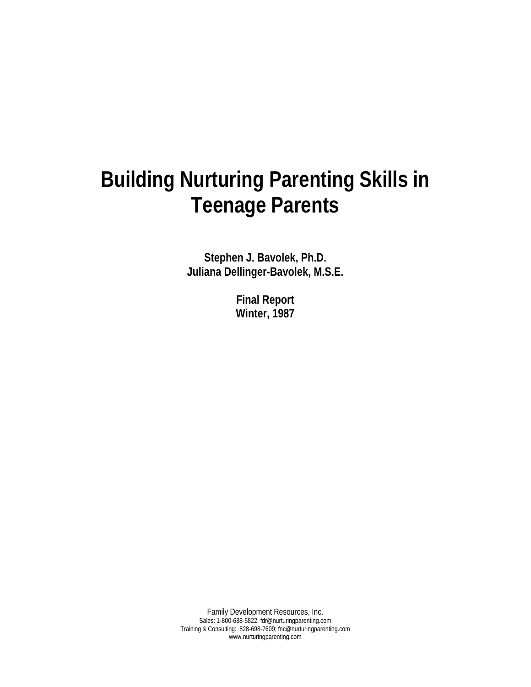# **Building Nurturing Parenting Skills in Teenage Parents**

**Stephen J. Bavolek, Ph.D. Juliana Dellinger-Bavolek, M.S.E.** 

> **Final Report Winter, 1987**

Family Development Resources, Inc. Sales: 1-800-688-5822; fdr@nurturingparenting.com Training & Consulting: 828-698-7609; fnc@nurturingparenting.com www.nurturingparenting.com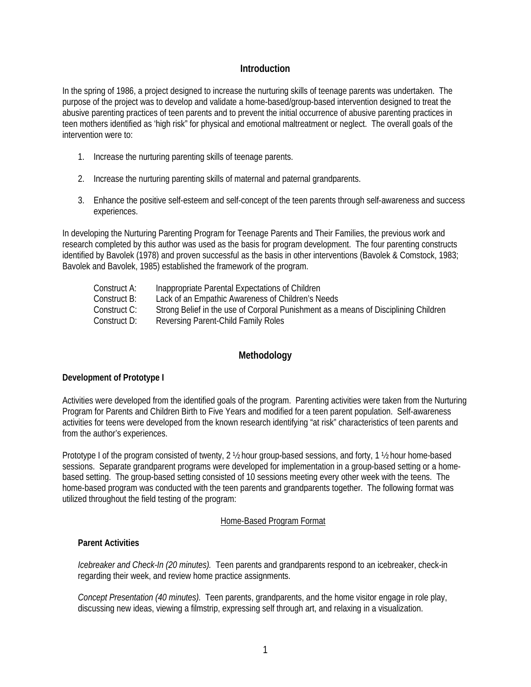# **Introduction**

In the spring of 1986, a project designed to increase the nurturing skills of teenage parents was undertaken. The purpose of the project was to develop and validate a home-based/group-based intervention designed to treat the abusive parenting practices of teen parents and to prevent the initial occurrence of abusive parenting practices in teen mothers identified as 'high risk" for physical and emotional maltreatment or neglect. The overall goals of the intervention were to:

- 1. Increase the nurturing parenting skills of teenage parents.
- 2. Increase the nurturing parenting skills of maternal and paternal grandparents.
- 3. Enhance the positive self-esteem and self-concept of the teen parents through self-awareness and success experiences.

In developing the Nurturing Parenting Program for Teenage Parents and Their Families, the previous work and research completed by this author was used as the basis for program development. The four parenting constructs identified by Bavolek (1978) and proven successful as the basis in other interventions (Bavolek & Comstock, 1983; Bavolek and Bavolek, 1985) established the framework of the program.

| Construct A: | Inappropriate Parental Expectations of Children                                     |
|--------------|-------------------------------------------------------------------------------------|
| Construct B: | Lack of an Empathic Awareness of Children's Needs                                   |
| Construct C: | Strong Belief in the use of Corporal Punishment as a means of Disciplining Children |
| Construct D: | Reversing Parent-Child Family Roles                                                 |

# **Methodology**

## **Development of Prototype I**

Activities were developed from the identified goals of the program. Parenting activities were taken from the Nurturing Program for Parents and Children Birth to Five Years and modified for a teen parent population. Self-awareness activities for teens were developed from the known research identifying "at risk" characteristics of teen parents and from the author's experiences.

Prototype I of the program consisted of twenty, 2 ½ hour group-based sessions, and forty, 1 ½ hour home-based sessions. Separate grandparent programs were developed for implementation in a group-based setting or a homebased setting. The group-based setting consisted of 10 sessions meeting every other week with the teens. The home-based program was conducted with the teen parents and grandparents together. The following format was utilized throughout the field testing of the program:

## Home-Based Program Format

## **Parent Activities**

*Icebreaker and Check-In (20 minutes).* Teen parents and grandparents respond to an icebreaker, check-in regarding their week, and review home practice assignments.

*Concept Presentation (40 minutes).* Teen parents, grandparents, and the home visitor engage in role play, discussing new ideas, viewing a filmstrip, expressing self through art, and relaxing in a visualization.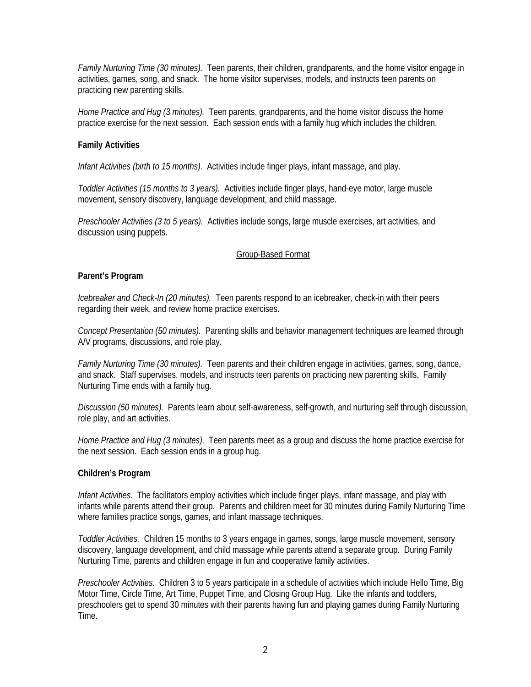*Family Nurturing Time (30 minutes).* Teen parents, their children, grandparents, and the home visitor engage in activities, games, song, and snack. The home visitor supervises, models, and instructs teen parents on practicing new parenting skills.

*Home Practice and Hug (3 minutes).* Teen parents, grandparents, and the home visitor discuss the home practice exercise for the next session. Each session ends with a family hug which includes the children.

# **Family Activities**

*Infant Activities (birth to 15 months).* Activities include finger plays, infant massage, and play.

*Toddler Activities (15 months to 3 years).* Activities include finger plays, hand-eye motor, large muscle movement, sensory discovery, language development, and child massage.

*Preschooler Activities (3 to 5 years).* Activities include songs, large muscle exercises, art activities, and discussion using puppets.

# Group-Based Format

## **Parent's Program**

*Icebreaker and Check-In (20 minutes).* Teen parents respond to an icebreaker, check-in with their peers regarding their week, and review home practice exercises.

*Concept Presentation (50 minutes).* Parenting skills and behavior management techniques are learned through A/V programs, discussions, and role play.

*Family Nurturing Time (30 minutes).* Teen parents and their children engage in activities, games, song, dance, and snack. Staff supervises, models, and instructs teen parents on practicing new parenting skills. Family Nurturing Time ends with a family hug.

*Discussion (50 minutes).* Parents learn about self-awareness, self-growth, and nurturing self through discussion, role play, and art activities.

*Home Practice and Hug (3 minutes).* Teen parents meet as a group and discuss the home practice exercise for the next session. Each session ends in a group hug.

## **Children's Program**

*Infant Activities.* The facilitators employ activities which include finger plays, infant massage, and play with infants while parents attend their group. Parents and children meet for 30 minutes during Family Nurturing Time where families practice songs, games, and infant massage techniques.

*Toddler Activities.* Children 15 months to 3 years engage in games, songs, large muscle movement, sensory discovery, language development, and child massage while parents attend a separate group. During Family Nurturing Time, parents and children engage in fun and cooperative family activities.

*Preschooler Activities.* Children 3 to 5 years participate in a schedule of activities which include Hello Time, Big Motor Time, Circle Time, Art Time, Puppet Time, and Closing Group Hug. Like the infants and toddlers, preschoolers get to spend 30 minutes with their parents having fun and playing games during Family Nurturing Time.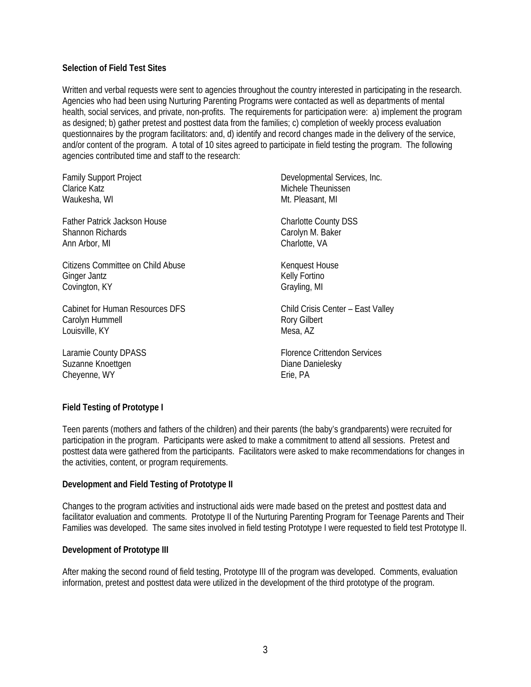# **Selection of Field Test Sites**

Written and verbal requests were sent to agencies throughout the country interested in participating in the research. Agencies who had been using Nurturing Parenting Programs were contacted as well as departments of mental health, social services, and private, non-profits. The requirements for participation were: a) implement the program as designed; b) gather pretest and posttest data from the families; c) completion of weekly process evaluation questionnaires by the program facilitators: and, d) identify and record changes made in the delivery of the service, and/or content of the program. A total of 10 sites agreed to participate in field testing the program. The following agencies contributed time and staff to the research:

| <b>Family Support Project</b>          | Developmental Services, Inc.      |
|----------------------------------------|-----------------------------------|
| Clarice Katz                           | Michele Theunissen                |
| Waukesha, WI                           | Mt. Pleasant, MI                  |
| Father Patrick Jackson House           | <b>Charlotte County DSS</b>       |
| <b>Shannon Richards</b>                | Carolyn M. Baker                  |
| Ann Arbor, MI                          | Charlotte, VA                     |
| Citizens Committee on Child Abuse      | Kenguest House                    |
| Ginger Jantz                           | Kelly Fortino                     |
| Covington, KY                          | Grayling, MI                      |
| <b>Cabinet for Human Resources DFS</b> | Child Crisis Center - East Valley |
| Carolyn Hummell                        | <b>Rory Gilbert</b>               |
| Louisville, KY                         | Mesa, AZ                          |

Laramie County DPASS Suzanne Knoettgen Cheyenne, WY

Florence Crittendon Services Diane Danielesky Erie, PA

# **Field Testing of Prototype I**

Teen parents (mothers and fathers of the children) and their parents (the baby's grandparents) were recruited for participation in the program. Participants were asked to make a commitment to attend all sessions. Pretest and posttest data were gathered from the participants. Facilitators were asked to make recommendations for changes in the activities, content, or program requirements.

## **Development and Field Testing of Prototype II**

Changes to the program activities and instructional aids were made based on the pretest and posttest data and facilitator evaluation and comments. Prototype II of the Nurturing Parenting Program for Teenage Parents and Their Families was developed. The same sites involved in field testing Prototype I were requested to field test Prototype II.

## **Development of Prototype III**

After making the second round of field testing, Prototype III of the program was developed. Comments, evaluation information, pretest and posttest data were utilized in the development of the third prototype of the program.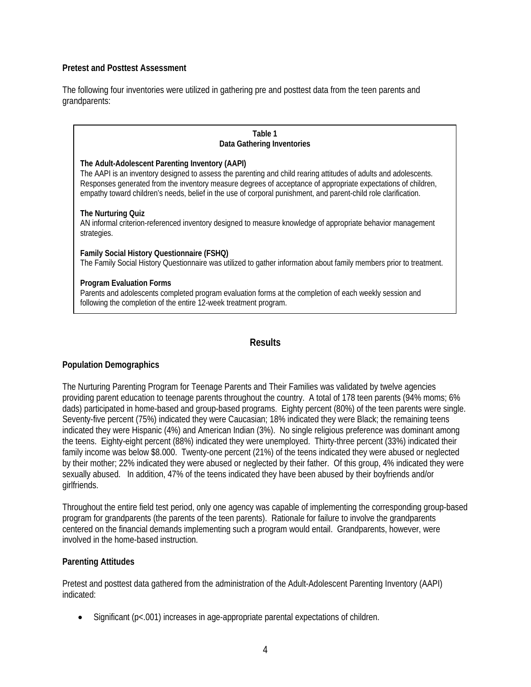# **Pretest and Posttest Assessment**

The following four inventories were utilized in gathering pre and posttest data from the teen parents and grandparents:

#### **Table 1 Data Gathering Inventories**

#### **The Adult-Adolescent Parenting Inventory (AAPI)**

The AAPI is an inventory designed to assess the parenting and child rearing attitudes of adults and adolescents. Responses generated from the inventory measure degrees of acceptance of appropriate expectations of children, empathy toward children's needs, belief in the use of corporal punishment, and parent-child role clarification.

## **The Nurturing Quiz**

AN informal criterion-referenced inventory designed to measure knowledge of appropriate behavior management strategies.

**Family Social History Questionnaire (FSHQ)**  The Family Social History Questionnaire was utilized to gather information about family members prior to treatment.

## **Program Evaluation Forms**

Parents and adolescents completed program evaluation forms at the completion of each weekly session and following the completion of the entire 12-week treatment program.

# **Results**

# **Population Demographics**

The Nurturing Parenting Program for Teenage Parents and Their Families was validated by twelve agencies providing parent education to teenage parents throughout the country. A total of 178 teen parents (94% moms; 6% dads) participated in home-based and group-based programs. Eighty percent (80%) of the teen parents were single. Seventy-five percent (75%) indicated they were Caucasian; 18% indicated they were Black; the remaining teens indicated they were Hispanic (4%) and American Indian (3%). No single religious preference was dominant among the teens. Eighty-eight percent (88%) indicated they were unemployed. Thirty-three percent (33%) indicated their family income was below \$8.000. Twenty-one percent (21%) of the teens indicated they were abused or neglected by their mother; 22% indicated they were abused or neglected by their father. Of this group, 4% indicated they were sexually abused. In addition, 47% of the teens indicated they have been abused by their boyfriends and/or girlfriends.

Throughout the entire field test period, only one agency was capable of implementing the corresponding group-based program for grandparents (the parents of the teen parents). Rationale for failure to involve the grandparents centered on the financial demands implementing such a program would entail. Grandparents, however, were involved in the home-based instruction.

## **Parenting Attitudes**

Pretest and posttest data gathered from the administration of the Adult-Adolescent Parenting Inventory (AAPI) indicated:

• Significant (p<.001) increases in age-appropriate parental expectations of children.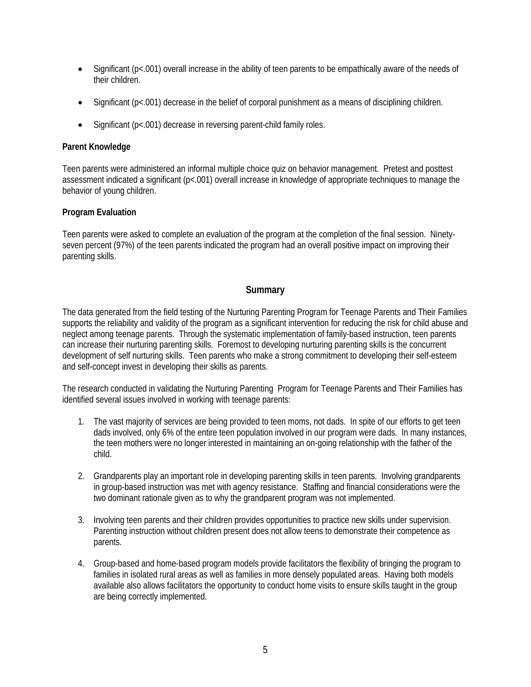- Significant (p<.001) overall increase in the ability of teen parents to be empathically aware of the needs of their children.
- Significant ( $p<001$ ) decrease in the belief of corporal punishment as a means of disciplining children.
- Significant (p<.001) decrease in reversing parent-child family roles.

# **Parent Knowledge**

Teen parents were administered an informal multiple choice quiz on behavior management. Pretest and posttest assessment indicated a significant (p<.001) overall increase in knowledge of appropriate techniques to manage the behavior of young children.

# **Program Evaluation**

Teen parents were asked to complete an evaluation of the program at the completion of the final session. Ninetyseven percent (97%) of the teen parents indicated the program had an overall positive impact on improving their parenting skills.

# **Summary**

The data generated from the field testing of the Nurturing Parenting Program for Teenage Parents and Their Families supports the reliability and validity of the program as a significant intervention for reducing the risk for child abuse and neglect among teenage parents. Through the systematic implementation of family-based instruction, teen parents can increase their nurturing parenting skills. Foremost to developing nurturing parenting skills is the concurrent development of self nurturing skills. Teen parents who make a strong commitment to developing their self-esteem and self-concept invest in developing their skills as parents.

The research conducted in validating the Nurturing Parenting Program for Teenage Parents and Their Families has identified several issues involved in working with teenage parents:

- 1. The vast majority of services are being provided to teen moms, not dads. In spite of our efforts to get teen dads involved, only 6% of the entire teen population involved in our program were dads. In many instances, the teen mothers were no longer interested in maintaining an on-going relationship with the father of the child.
- 2. Grandparents play an important role in developing parenting skills in teen parents. Involving grandparents in group-based instruction was met with agency resistance. Staffing and financial considerations were the two dominant rationale given as to why the grandparent program was not implemented.
- 3. Involving teen parents and their children provides opportunities to practice new skills under supervision. Parenting instruction without children present does not allow teens to demonstrate their competence as parents.
- 4. Group-based and home-based program models provide facilitators the flexibility of bringing the program to families in isolated rural areas as well as families in more densely populated areas. Having both models available also allows facilitators the opportunity to conduct home visits to ensure skills taught in the group are being correctly implemented.